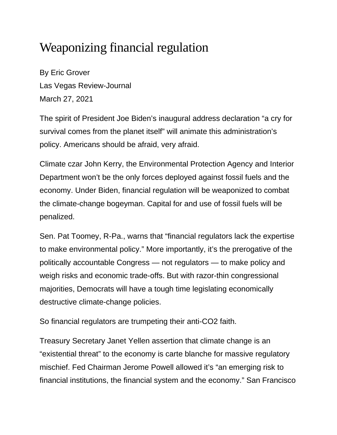## Weaponizing financial regulation

By Eric Grover Las Vegas Review-Journal March 27, 2021

The spirit of President Joe Biden's inaugural address declaration "a cry for survival comes from the planet itself" will animate this administration's policy. Americans should be afraid, very afraid.

Climate czar John Kerry, the Environmental Protection Agency and Interior Department won't be the only forces deployed against fossil fuels and the economy. Under Biden, financial regulation will be weaponized to combat the climate-change bogeyman. Capital for and use of fossil fuels will be penalized.

Sen. Pat Toomey, R-Pa., warns that "financial regulators lack the expertise to make environmental policy." More importantly, it's the prerogative of the politically accountable Congress — not regulators — to make policy and weigh risks and economic trade-offs. But with razor-thin congressional majorities, Democrats will have a tough time legislating economically destructive climate-change policies.

So financial regulators are trumpeting their anti-CO2 faith.

Treasury Secretary Janet Yellen assertion that climate change is an "existential threat" to the economy is carte blanche for massive regulatory mischief. Fed Chairman Jerome Powell allowed it's "an emerging risk to financial institutions, the financial system and the economy." San Francisco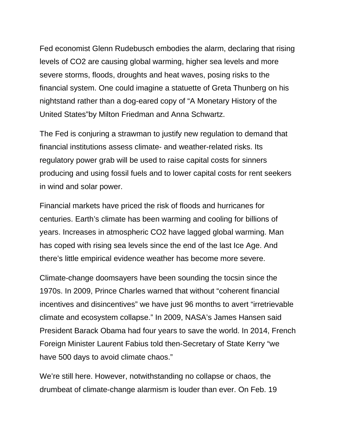Fed economist Glenn Rudebusch embodies the alarm, declaring that rising levels of CO2 are causing global warming, higher sea levels and more severe storms, floods, droughts and heat waves, posing risks to the financial system. One could imagine a statuette of Greta Thunberg on his nightstand rather than a dog-eared copy of "A Monetary History of the United States"by Milton Friedman and Anna Schwartz.

The Fed is conjuring a strawman to justify new regulation to demand that financial institutions assess climate- and weather-related risks. Its regulatory power grab will be used to raise capital costs for sinners producing and using fossil fuels and to lower capital costs for rent seekers in wind and solar power.

Financial markets have priced the risk of floods and hurricanes for centuries. Earth's climate has been warming and cooling for billions of years. Increases in atmospheric CO2 have lagged global warming. Man has coped with rising sea levels since the end of the last Ice Age. And there's little empirical evidence weather has become more severe.

Climate-change doomsayers have been sounding the tocsin since the 1970s. In 2009, Prince Charles warned that without "coherent financial incentives and disincentives" we have just 96 months to avert "irretrievable climate and ecosystem collapse." In 2009, NASA's James Hansen said President Barack Obama had four years to save the world. In 2014, French Foreign Minister Laurent Fabius told then-Secretary of State Kerry "we have 500 days to avoid climate chaos."

We're still here. However, notwithstanding no collapse or chaos, the drumbeat of climate-change alarmism is louder than ever. On Feb. 19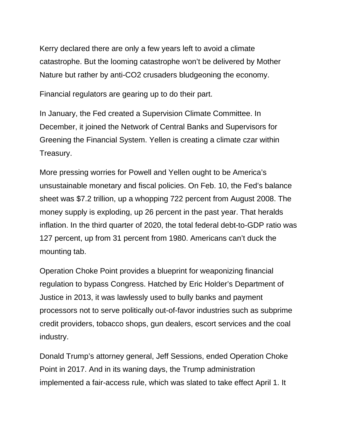Kerry declared there are only a few years left to avoid a climate catastrophe. But the looming catastrophe won't be delivered by Mother Nature but rather by anti-CO2 crusaders bludgeoning the economy.

Financial regulators are gearing up to do their part.

In January, the Fed created a Supervision Climate Committee. In December, it joined the Network of Central Banks and Supervisors for Greening the Financial System. Yellen is creating a climate czar within Treasury.

More pressing worries for Powell and Yellen ought to be America's unsustainable monetary and fiscal policies. On Feb. 10, the Fed's balance sheet was \$7.2 trillion, up a whopping 722 percent from August 2008. The money supply is exploding, up 26 percent in the past year. That heralds inflation. In the third quarter of 2020, the total federal debt-to-GDP ratio was 127 percent, up from 31 percent from 1980. Americans can't duck the mounting tab.

Operation Choke Point provides a blueprint for weaponizing financial regulation to bypass Congress. Hatched by Eric Holder's Department of Justice in 2013, it was lawlessly used to bully banks and payment processors not to serve politically out-of-favor industries such as subprime credit providers, tobacco shops, gun dealers, escort services and the coal industry.

Donald Trump's attorney general, Jeff Sessions, ended Operation Choke Point in 2017. And in its waning days, the Trump administration implemented a fair-access rule, which was slated to take effect April 1. It